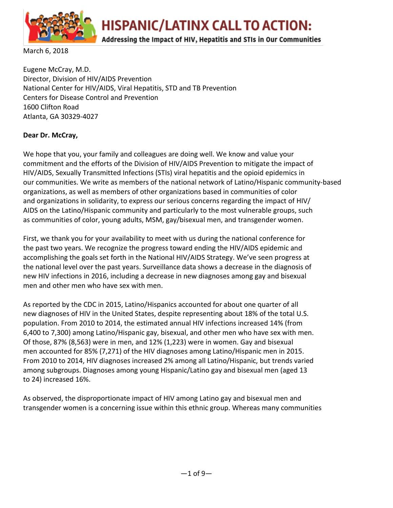

HISPANIC/LATINX CALL TO ACTION:

### Addressing the Impact of HIV, Hepatitis and STIs in Our Communities

March 6, 2018

Eugene McCray, M.D. Director, Division of HIV/AIDS Prevention National Center for HIV/AIDS, Viral Hepatitis, STD and TB Prevention Centers for Disease Control and Prevention 1600 Clifton Road Atlanta, GA 30329-4027

#### **Dear Dr. McCray,**

We hope that you, your family and colleagues are doing well. We know and value your commitment and the efforts of the Division of HIV/AIDS Prevention to mitigate the impact of HIV/AIDS, Sexually Transmitted Infections (STIs) viral hepatitis and the opioid epidemics in our communities. We write as members of the national network of Latino/Hispanic community-based organizations, as well as members of other organizations based in communities of color and organizations in solidarity, to express our serious concerns regarding the impact of HIV/ AIDS on the Latino/Hispanic community and particularly to the most vulnerable groups, such as communities of color, young adults, MSM, gay/bisexual men, and transgender women.

First, we thank you for your availability to meet with us during the national conference for the past two years. We recognize the progress toward ending the HIV/AIDS epidemic and accomplishing the goals set forth in the National HIV/AIDS Strategy. We've seen progress at the national level over the past years. Surveillance data shows a decrease in the diagnosis of new HIV infections in 2016, including a decrease in new diagnoses among gay and bisexual men and other men who have sex with men.

As reported by the CDC in 2015, Latino/Hispanics accounted for about one quarter of all new diagnoses of HIV in the United States, despite representing about 18% of the total U.S. population. From 2010 to 2014, the estimated annual HIV infections increased 14% (from 6,400 to 7,300) among Latino/Hispanic gay, bisexual, and other men who have sex with men. Of those, 87% (8,563) were in men, and 12% (1,223) were in women. Gay and bisexual men accounted for 85% (7,271) of the HIV diagnoses among Latino/Hispanic men in 2015. From 2010 to 2014, HIV diagnoses increased 2% among all Latino/Hispanic, but trends varied among subgroups. Diagnoses among young Hispanic/Latino gay and bisexual men (aged 13 to 24) increased 16%.

As observed, the disproportionate impact of HIV among Latino gay and bisexual men and transgender women is a concerning issue within this ethnic group. Whereas many communities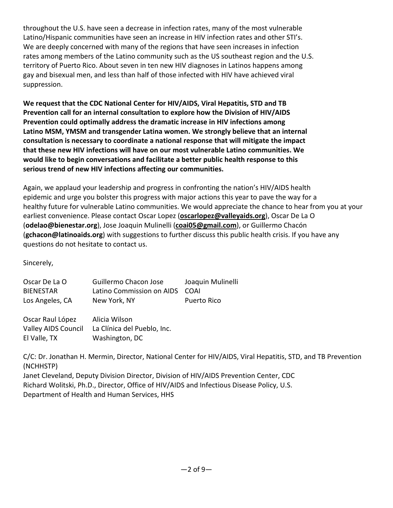throughout the U.S. have seen a decrease in infection rates, many of the most vulnerable Latino/Hispanic communities have seen an increase in HIV infection rates and other STI's. We are deeply concerned with many of the regions that have seen increases in infection rates among members of the Latino community such as the US southeast region and the U.S. territory of Puerto Rico. About seven in ten new HIV diagnoses in Latinos happens among gay and bisexual men, and less than half of those infected with HIV have achieved viral suppression.

**We request that the CDC National Center for HIV/AIDS, Viral Hepatitis, STD and TB Prevention call for an internal consultation to explore how the Division of HIV/AIDS Prevention could optimally address the dramatic increase in HIV infections among Latino MSM, YMSM and transgender Latina women. We strongly believe that an internal consultation is necessary to coordinate a national response that will mitigate the impact that these new HIV infections will have on our most vulnerable Latino communities. We would like to begin conversations and facilitate a better public health response to this serious trend of new HIV infections affecting our communities.**

Again, we applaud your leadership and progress in confronting the nation's HIV/AIDS health epidemic and urge you bolster this progress with major actions this year to pave the way for a healthy future for vulnerable Latino communities. We would appreciate the chance to hear from you at your earliest convenience. Please contact Oscar Lopez (**oscarlopez@valleyaids.org**), Oscar De La O (**odelao@bienestar.org**), Jose Joaquin Mulinelli (**coai05@gmail.com**), or Guillermo Chacón (**gchacon@latinoaids.org**) with suggestions to further discuss this public health crisis. If you have any questions do not hesitate to contact us.

Sincerely,

| Oscar De La O    | Guillermo Chacon Jose          | Joaquin Mulinelli |
|------------------|--------------------------------|-------------------|
| <b>BIENESTAR</b> | Latino Commission on AIDS COAI |                   |
| Los Angeles, CA  | New York, NY                   | Puerto Rico       |

Oscar Raul López Alicia Wilson Valley AIDS Council La Clínica del Pueblo, Inc. El Valle, TX Washington, DC

C/C: Dr. Jonathan H. Mermin, Director, National Center for HIV/AIDS, Viral Hepatitis, STD, and TB Prevention (NCHHSTP)

Janet Cleveland, Deputy Division Director, Division of HIV/AIDS Prevention Center, CDC Richard Wolitski, Ph.D., Director, Office of HIV/AIDS and Infectious Disease Policy, U.S. Department of Health and Human Services, HHS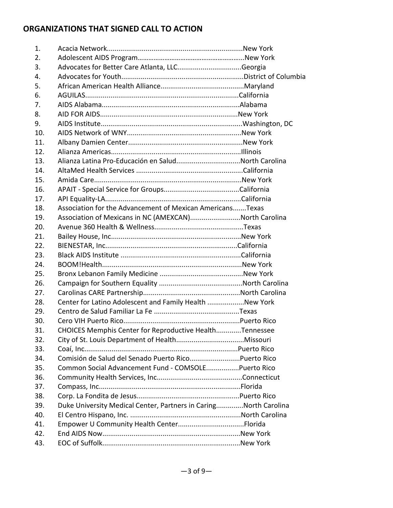## **ORGANIZATIONS THAT SIGNED CALL TO ACTION**

| 1.  |                                                                  |  |
|-----|------------------------------------------------------------------|--|
| 2.  |                                                                  |  |
| 3.  |                                                                  |  |
| 4.  |                                                                  |  |
| 5.  |                                                                  |  |
| 6.  |                                                                  |  |
| 7.  |                                                                  |  |
| 8.  |                                                                  |  |
| 9.  |                                                                  |  |
| 10. |                                                                  |  |
| 11. |                                                                  |  |
| 12. |                                                                  |  |
| 13. | Alianza Latina Pro-Educación en SaludNorth Carolina              |  |
| 14. |                                                                  |  |
| 15. |                                                                  |  |
| 16. |                                                                  |  |
| 17. |                                                                  |  |
| 18. | Association for the Advancement of Mexican AmericansTexas        |  |
| 19. | Association of Mexicans in NC (AMEXCAN)North Carolina            |  |
| 20. |                                                                  |  |
| 21. |                                                                  |  |
| 22. |                                                                  |  |
| 23. |                                                                  |  |
| 24. |                                                                  |  |
| 25. |                                                                  |  |
| 26. |                                                                  |  |
| 27. |                                                                  |  |
| 28. | Center for Latino Adolescent and Family Health New York          |  |
| 29. |                                                                  |  |
| 30. |                                                                  |  |
| 31. | CHOICES Memphis Center for Reproductive HealthTennessee          |  |
| 32. |                                                                  |  |
| 33. |                                                                  |  |
| 34. |                                                                  |  |
| 35. | Common Social Advancement Fund - COMSOLEPuerto Rico              |  |
| 36. |                                                                  |  |
| 37. |                                                                  |  |
| 38. |                                                                  |  |
| 39. | Duke University Medical Center, Partners in CaringNorth Carolina |  |
| 40. |                                                                  |  |
| 41. |                                                                  |  |
| 42. |                                                                  |  |
| 43. |                                                                  |  |
|     |                                                                  |  |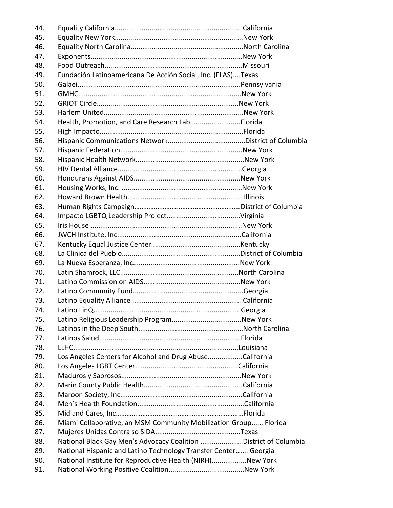| 44. |                                                                  |  |
|-----|------------------------------------------------------------------|--|
| 45. |                                                                  |  |
| 46. |                                                                  |  |
| 47. |                                                                  |  |
| 48. |                                                                  |  |
| 49. | Fundación Latinoamericana De Acción Social, Inc. (FLAS)Texas     |  |
| 50. |                                                                  |  |
| 51. |                                                                  |  |
| 52. |                                                                  |  |
| 53. |                                                                  |  |
| 54. | Health, Promotion, and Care Research LabFlorida                  |  |
| 55. |                                                                  |  |
| 56. |                                                                  |  |
| 57. |                                                                  |  |
| 58. |                                                                  |  |
| 59. |                                                                  |  |
| 60. |                                                                  |  |
| 61. |                                                                  |  |
| 62. |                                                                  |  |
| 63. |                                                                  |  |
| 64. |                                                                  |  |
| 65. |                                                                  |  |
| 66. |                                                                  |  |
| 67. |                                                                  |  |
| 68. |                                                                  |  |
| 69. |                                                                  |  |
| 70. |                                                                  |  |
| 71. |                                                                  |  |
| 72. |                                                                  |  |
| 73. |                                                                  |  |
| 74. |                                                                  |  |
| 75. |                                                                  |  |
| 76. |                                                                  |  |
| 77. |                                                                  |  |
| 78. |                                                                  |  |
| 79. | Los Angeles Centers for Alcohol and Drug AbuseCalifornia         |  |
| 80. |                                                                  |  |
| 81. |                                                                  |  |
| 82. |                                                                  |  |
| 83. |                                                                  |  |
| 84. |                                                                  |  |
| 85. |                                                                  |  |
| 86. | Miami Collaborative, an MSM Community Mobilization Group Florida |  |
| 87. |                                                                  |  |
| 88. | National Black Gay Men's Advocacy Coalition District of Columbia |  |
| 89. | National Hispanic and Latino Technology Transfer Center Georgia  |  |
| 90. | National Institute for Reproductive Health (NIRH)New York        |  |
| 91. |                                                                  |  |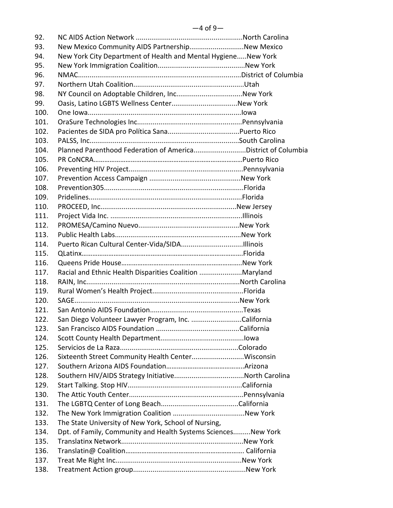| 92.  |                                                                |  |
|------|----------------------------------------------------------------|--|
| 93.  | New Mexico Community AIDS PartnershipNew Mexico                |  |
| 94.  | New York City Department of Health and Mental HygieneNew York  |  |
| 95.  |                                                                |  |
| 96.  |                                                                |  |
| 97.  |                                                                |  |
| 98.  |                                                                |  |
| 99.  |                                                                |  |
| 100. |                                                                |  |
| 101. |                                                                |  |
| 102. |                                                                |  |
| 103. |                                                                |  |
| 104. | Planned Parenthood Federation of AmericaDistrict of Columbia   |  |
| 105. |                                                                |  |
| 106. |                                                                |  |
| 107. |                                                                |  |
| 108. |                                                                |  |
| 109. |                                                                |  |
| 110. |                                                                |  |
| 111. |                                                                |  |
| 112. |                                                                |  |
| 113. |                                                                |  |
| 114. |                                                                |  |
| 115. |                                                                |  |
| 116. |                                                                |  |
| 117. | Racial and Ethnic Health Disparities Coalition Maryland        |  |
| 118. |                                                                |  |
| 119. |                                                                |  |
| 120. |                                                                |  |
| 121. |                                                                |  |
| 122. | San Diego Volunteer Lawyer Program, Inc. California            |  |
| 123. |                                                                |  |
| 124. |                                                                |  |
| 125. |                                                                |  |
| 126. | Sixteenth Street Community Health CenterWisconsin              |  |
| 127. |                                                                |  |
| 128. |                                                                |  |
| 129. |                                                                |  |
| 130. |                                                                |  |
| 131. |                                                                |  |
| 132. |                                                                |  |
| 133. | The State University of New York, School of Nursing,           |  |
| 134. | Dpt. of Family, Community and Health Systems Sciences New York |  |
| 135. |                                                                |  |
| 136. |                                                                |  |
| 137. |                                                                |  |
| 138. |                                                                |  |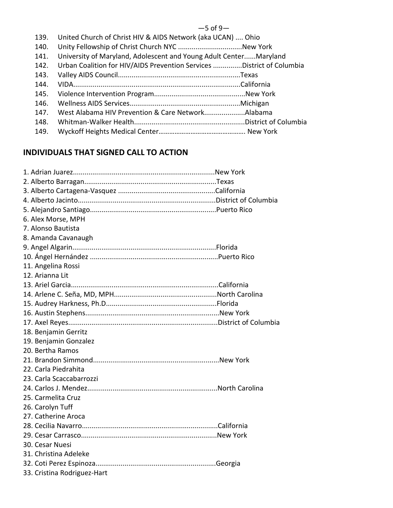#### $-5$  of 9 $-$

- 139. United Church of Christ HIV & AIDS Network (aka UCAN) .... Ohio
- 140. Unity Fellowship of Christ Church NYC .................................New York
- 141. University of Maryland, Adolescent and Young Adult Center......Maryland
- 142. Urban Coalition for HIV/AIDS Prevention Services ...............District of Columbia
- 143. Valley AIDS Council...............................................................Texas
- 144. VIDA......................................................................................California
- 145. Violence Intervention Program...............................................New York
- 146. Wellness AIDS Services.........................................................Michigan
- 147. West Alabama HIV Prevention & Care Network.....................Alabama
- 148. Whitman-Walker Health.........................................................District of Columbia
- 149. Wyckoff Heights Medical Center…………………………………………. New York

# **INDIVIDUALS THAT SIGNED CALL TO ACTION**

| 6. Alex Morse, MPH          |  |
|-----------------------------|--|
| 7. Alonso Bautista          |  |
| 8. Amanda Cavanaugh         |  |
|                             |  |
|                             |  |
| 11. Angelina Rossi          |  |
| 12. Arianna Lit             |  |
|                             |  |
|                             |  |
|                             |  |
|                             |  |
|                             |  |
| 18. Benjamin Gerritz        |  |
| 19. Benjamin Gonzalez       |  |
| 20. Bertha Ramos            |  |
|                             |  |
| 22. Carla Piedrahita        |  |
| 23. Carla Scaccabarrozzi    |  |
|                             |  |
| 25. Carmelita Cruz          |  |
| 26. Carolyn Tuff            |  |
| 27. Catherine Aroca         |  |
|                             |  |
|                             |  |
| 30. Cesar Nuesi             |  |
| 31. Christina Adeleke       |  |
|                             |  |
| 33. Cristina Rodriguez-Hart |  |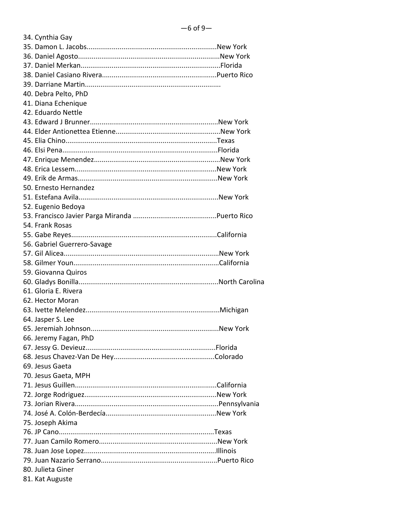| 34. Cynthia Gay             |  |
|-----------------------------|--|
|                             |  |
|                             |  |
|                             |  |
|                             |  |
|                             |  |
| 40. Debra Pelto, PhD        |  |
| 41. Diana Echenique         |  |
| 42. Eduardo Nettle          |  |
|                             |  |
|                             |  |
|                             |  |
|                             |  |
|                             |  |
|                             |  |
|                             |  |
| 50. Ernesto Hernandez       |  |
|                             |  |
| 52. Eugenio Bedoya          |  |
|                             |  |
| 54. Frank Rosas             |  |
|                             |  |
| 56. Gabriel Guerrero-Savage |  |
|                             |  |
|                             |  |
| 59. Giovanna Quiros         |  |
|                             |  |
| 61. Gloria E. Rivera        |  |
| 62. Hector Moran            |  |
|                             |  |
| 64. Jasper S. Lee           |  |
|                             |  |
| 66. Jeremy Fagan, PhD       |  |
|                             |  |
|                             |  |
| 69. Jesus Gaeta             |  |
| 70. Jesus Gaeta, MPH        |  |
|                             |  |
|                             |  |
|                             |  |
|                             |  |
|                             |  |
| 75. Joseph Akima            |  |
|                             |  |
|                             |  |
|                             |  |
|                             |  |
| 80. Julieta Giner           |  |
| 81. Kat Auguste             |  |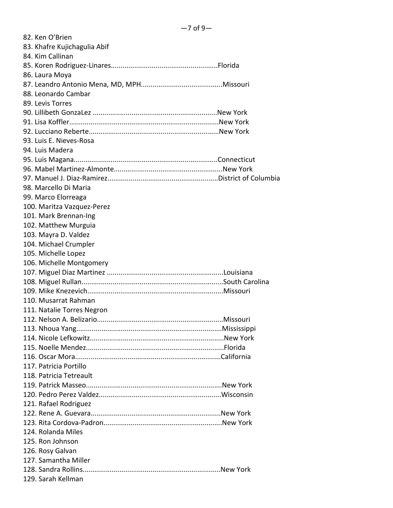| 82. Ken O'Brien              |  |
|------------------------------|--|
| 83. Khafre Kujichagulia Abif |  |
| 84. Kim Callinan             |  |
|                              |  |
| 86. Laura Moya               |  |
|                              |  |
| 88. Leonardo Cambar          |  |
| 89. Levis Torres             |  |
|                              |  |
|                              |  |
|                              |  |
| 93. Luis E. Nieves-Rosa      |  |
| 94. Luis Madera              |  |
|                              |  |
|                              |  |
|                              |  |
| 98. Marcello Di Maria        |  |
| 99. Marco Elorreaga          |  |
| 100. Maritza Vazquez-Perez   |  |
| 101. Mark Brennan-Ing        |  |
| 102. Matthew Murguia         |  |
| 103. Mayra D. Valdez         |  |
| 104. Michael Crumpler        |  |
| 105. Michelle Lopez          |  |
| 106. Michelle Montgomery     |  |
|                              |  |
|                              |  |
|                              |  |
| 110. Musarrat Rahman         |  |
| 111. Natalie Torres Negron   |  |
|                              |  |
|                              |  |
|                              |  |
|                              |  |
|                              |  |
| 117. Patricia Portillo       |  |
| 118. Patricia Tetreault      |  |
|                              |  |
|                              |  |
| 121. Rafael Rodriguez        |  |
|                              |  |
|                              |  |
| 124. Rolanda Miles           |  |
| 125. Ron Johnson             |  |
| 126. Rosy Galvan             |  |
| 127. Samantha Miller         |  |
|                              |  |
| 129. Sarah Kellman           |  |